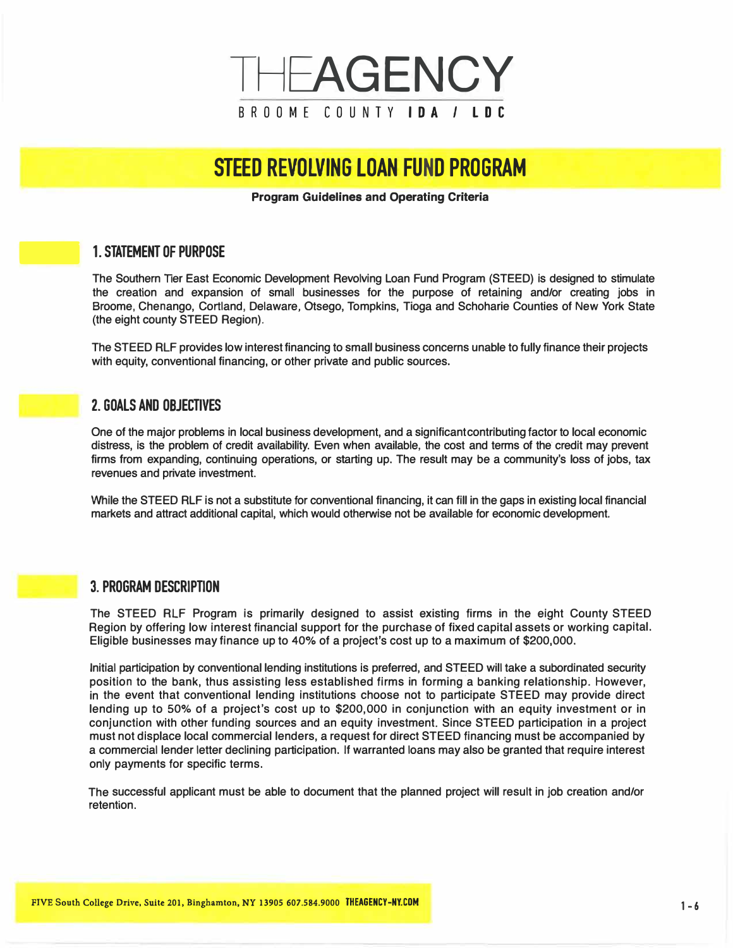

# **STEED REVOLVING LOAN FUND PROGRAM**

#### **Program Guidelines and Operating Criteria**

# **- 1. STATEMENT OF PURPOSE**

The Southern Tier East Economic Development Revolving Loan Fund Program (STEED) is designed to stimulate the creation and expansion of small businesses for the purpose of retaining and/or creating jobs in Broome, Chenango, Cortland, Delaware, Otsego, Tompkins, Tioga and Schoharie Counties of New York State (the eight county STEED Region).

The STEED RLF provides low interest financing to small business concerns unable to fully finance their projects with equity, conventional financing, or other private and public sources.

# **2. GOALS AND OBJECTIVES**

One of the major problems in local business development, and a significantcontributing factor to local economic distress, is the problem of credit availability. Even when available, the cost and terms of the credit may prevent firms from expanding, continuing operations, or starting up. The result may be a community's loss of jobs, tax revenues and private investment.

While the STEED RLF is not a substitute for conventional financing, *it* can fill in the gaps in existing local financial markets and attract additional capital, which would otherwise not be available for economic development.

## **3. PROGRAM DESCRIPTION**

The STEED RLF Program is primarily designed to assist existing firms in the eight County STEED Region by offering low interest financial support for the purchase of fixed capital assets or working capital. Eligible businesses may finance up to 40% of a project's cost up to a maximum of \$200,000.

Initial participation by conventional lending institutions is preferred, and STEED will take a subordinated security position to the bank, thus assisting less established firms in forming a banking relationship. However, in the event that conventional lending institutions choose not to participate STEED may provide direct lending up to 50% of a project's cost up to \$200,000 in conjunction with an equity investment or in conjunction with other funding sources and an equity investment. Since STEED participation in a project must not displace local commercial lenders, a request for direct STEED financing must be accompanied by a commercial lender letter declining participation. If warranted loans may also be granted that require interest only payments for specific terms.

The successful applicant must be able to document that the planned project will result in job creation and/or retention.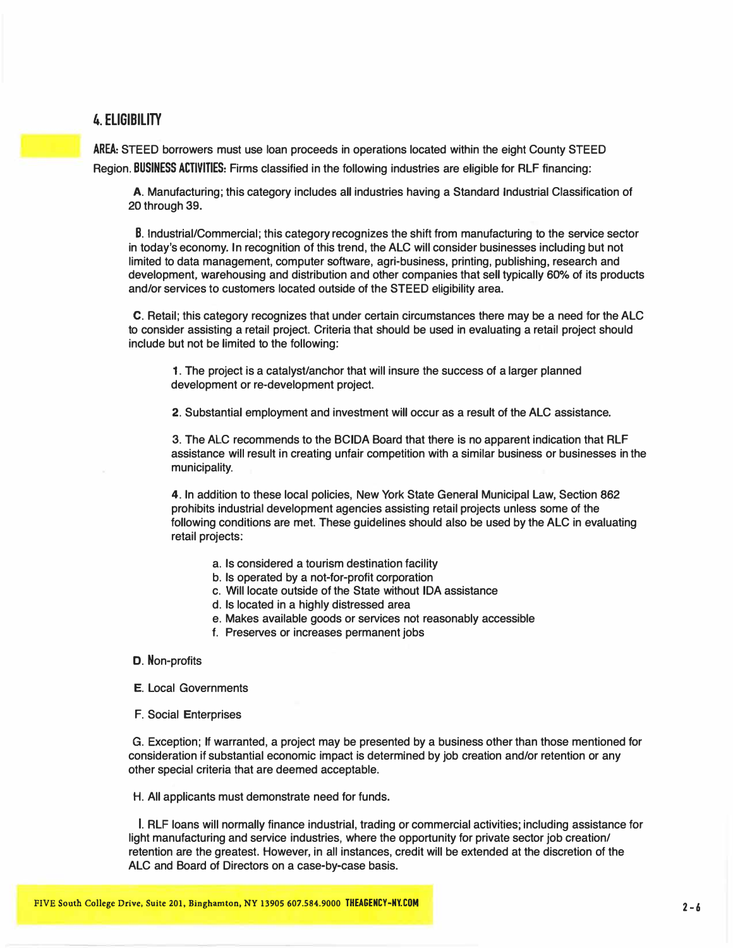# **4. ELIGIBILITY**

AREA: STEED borrowers must use loan proceeds in operations located within the eight County STEED Region. BUSINESS ACTIVITIES: Firms classified in the following industries are eligible for ALF financing:

A. Manufacturing; this category includes all industries having a Standard Industrial Classification of 20 through 39.

B. Industrial/Commercial; this category recognizes the shift from manufacturing to the service sector in today's economy. In recognition of this trend, the ALC will consider businesses including but not limited to data management, computer software, agri-business, printing, publishing, research and development, warehousing and distribution and other companies that sell typically 60% of its products and/or services to customers located outside of the STEED eligibility area.

C. Retail; this category recognizes that under certain circumstances there may be a need for the ALC to consider assisting a retail project. Criteria that should be used in evaluating a retail project should include but not be limited to the following:

**1.** The project is a catalyst/anchor that will insure the success of a larger planned development or re-development project.

2. Substantial employment and investment will occur as a result of the ALC assistance.

3. The ALC recommends to the BCIDA Board that there is no apparent indication that RLF assistance will result in creating unfair competition with a similar business or businesses in the municipality.

**4.** In addition to these local policies, New York State General Municipal Law, Section 862 prohibits industrial development agencies assisting retail projects unless some of the following conditions are met. These guidelines should also be used by the ALC in evaluating retail projects:

- a. Is considered a tourism destination facility
- b. Is operated by a not-for-profit corporation
- c. Will locate outside of the State without IDA assistance
- d. Is located in a highly distressed area
- e. Makes available goods or services not reasonably accessible
- f. Preserves or increases permanent jobs

#### D. Non-profits

E. Local Governments

F. Social Enterprises

G. Exception; If warranted, a project may be presented by a business other than those mentioned for consideration if substantial economic impact is determined by job creation and/or retention or any other special criteria that are deemed acceptable.

H. All applicants must demonstrate need for funds.

I. RLF loans will normally finance industrial, trading or commercial activities; including assistance for light manufacturing and service industries, where the opportunity for private sector job creation/ retention are the greatest. However, in all instances, credit will be extended at the discretion of the ALC and Board of Directors on a case-by-case basis.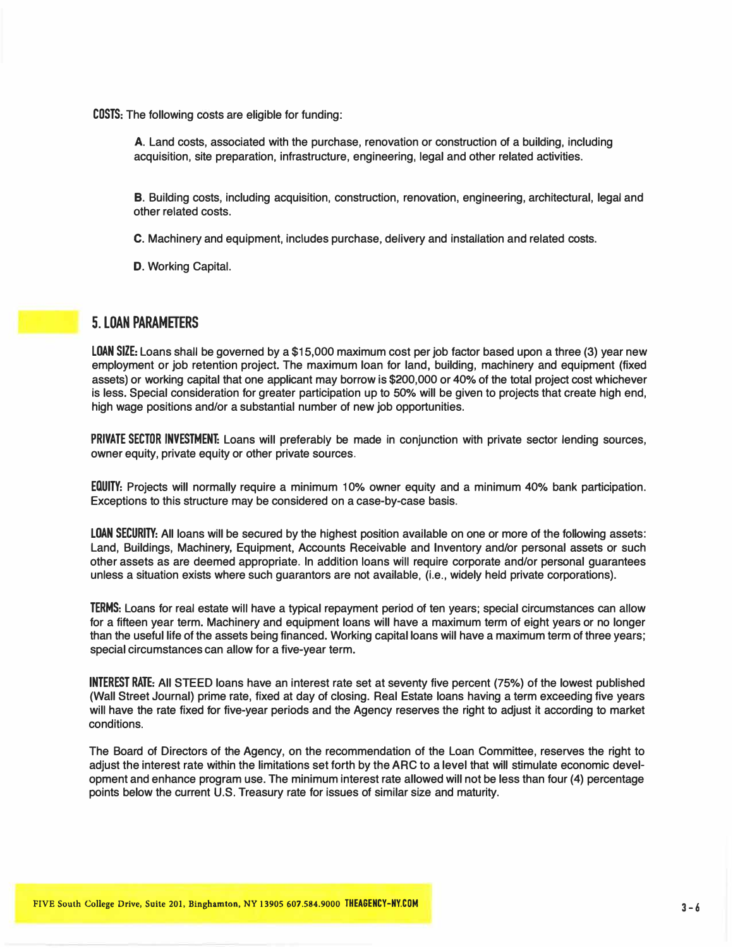COSTS: The following costs are eligible for funding:

A. Land costs, associated with the purchase, renovation or construction of a building, including acquisition, site preparation, infrastructure, engineering, legal and other related activities.

B. Building costs, including acquisition, construction, renovation, engineering, architectural, legal and other related costs.

C. Machinery and equipment, includes purchase, delivery and installation and related costs.

D. Working Capital.

#### **5. LOAN PARAMETERS**

LOAN SIZE: Loans shall be governed by a \$15,000 maximum cost per job factor based upon a three (3) year new employment or job retention project. The maximum loan for land, building, machinery and equipment (fixed assets) or working capital that one applicant may borrow is \$200,000 or 40% of the total project cost whichever is less. Special consideration for greater participation up to 50% will be given to projects that create high end, high wage positions and/or a substantial number of new job opportunities.

PRIVATE SECTOR INVESTMENT: Loans will preferably be made in conjunction with private sector lending sources, owner equity, private equity or other private sources.

EQUITY: Projects will normally require a minimum 10% owner equity and a minimum 40% bank participation. Exceptions to this structure may be considered on a case-by-case basis.

LOAN SECURITY: All loans will be secured by the highest position available on one or more of the following assets: Land, Buildings, Machinery, Equipment, Accounts Receivable and Inventory and/or personal assets or such other assets as are deemed appropriate. In addition loans will require corporate and/or personal guarantees unless a situation exists where such guarantors are not available, (i.e., widely held private corporations).

TERMS: Loans for real estate will have a typical repayment period of ten years; special circumstances can allow for a fifteen year term. Machinery and equipment loans will have a maximum term of eight years or no longer than the useful life of the assets being financed. Working capital loans will have a maximum term of three years; special circumstances can allow for a five-year term.

INTEREST RATE: All STEED loans have an interest rate set at seventy five percent (75%) of the lowest published (Wall Street Journal) prime rate, fixed at day of closing. Real Estate loans having a term exceeding five years will have the rate fixed for five-year periods and the Agency reserves the right to adjust it according to market conditions.

The Board of Directors of the Agency, on the recommendation of the Loan Committee, reserves the right to adjust the interest rate within the limitations set forth by the ARC to a level that will stimulate economic development and enhance program use. The minimum interest rate allowed will not be less than four (4) percentage points below the current U.S. Treasury rate for issues of similar size and maturity.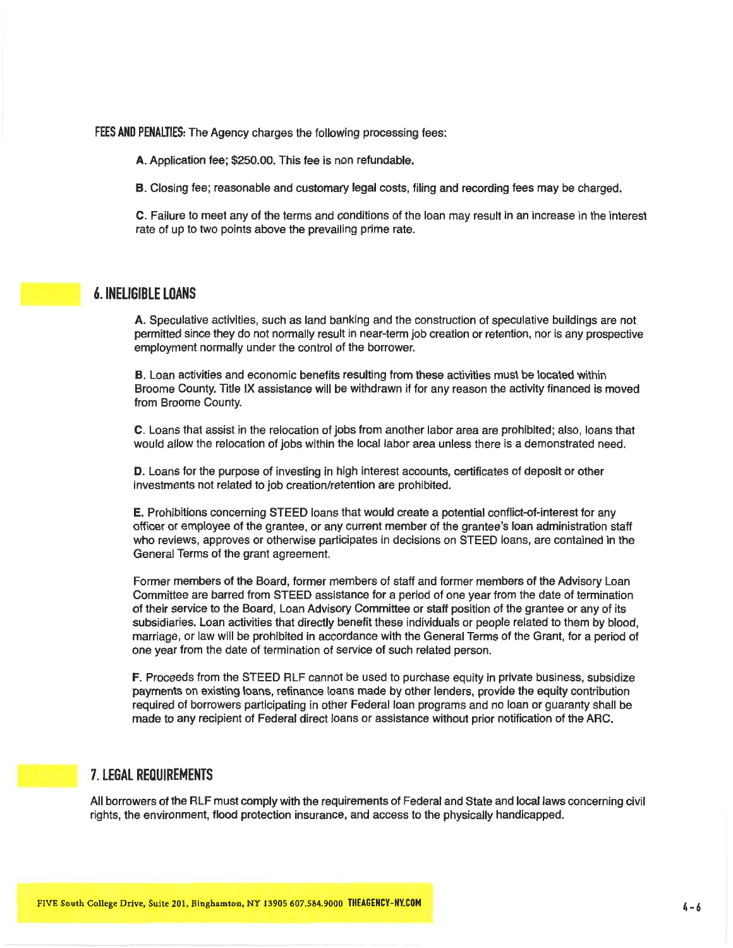FEES AND PENALTIES: The Agency charges the following processing fees:

A. Application fee; \$250.00. This fee is non refundable.

B. Closing fee; reasonable and customary legal costs, filing and recording fees may be charged.

C. Failure to meet any of the terms and conditions of the loan may result in an increase in the interest rate of up to two points above the prevailing prime rate.

#### **6. INELIGIBLE LOANS**

A. Speculative activities, such as land banking and the construction of speculative buildings are not permitted since they do not normally result in near-term job creation or retention, nor is any prospective employment normally under the control of the borrower.

B. Loan activities and economic benefits resulting from these activities must be located within Broome County. Title IX assistance will be withdrawn if for any reason the activity financed is moved from Broome County.

C. Loans that assist in the relocation of jobs from another labor area are prohibited: also, loans that would allow the relocation of jobs within the local labor area unless there is a demonstrated need.

D. Loans for the purpose of investing in high interest accounts, certificates of deposit or other investments not related to job creation/retention are prohibited.

E. Prohibitions concerning STEED loans that would create a potential conflict-of-interest for any officer or employee of the grantee, or any current member of the grantee's loan administration staff who reviews, approves or otherwise participates in decisions on STEED loans, are contained in the General Terms of the grant agreement.

Former members of the Board, former members of staff and former members of the Advisory Loan Committee are barred from STEED assistance for a period of one year from the date of termination of their service to the Board, Loan Advisory Committee or staff position of the grantee or any of its subsidiaries. Loan activities that directly benefit these individuals or people related to them by blood. marriage, or law will be prohibited in accordance with the General Terms of the Grant, for a period of one year from the date of termination of service of such related person.

F. Proceeds from the STEED RLF cannot be used to purchase equity in private business, subsidize payments on existing loans, refinance loans made by other lenders, provide the equity contribution required of borrowers participating in other Federal loan programs and no loan or quaranty shall be made to any recipient of Federal direct loans or assistance without prior notification of the ARC.

## **7. LEGAL REQUIREMENTS**

All borrowers of the RLF must comply with the requirements of Federal and State and local laws concerning civil rights, the environment, flood protection insurance, and access to the physically handicapped.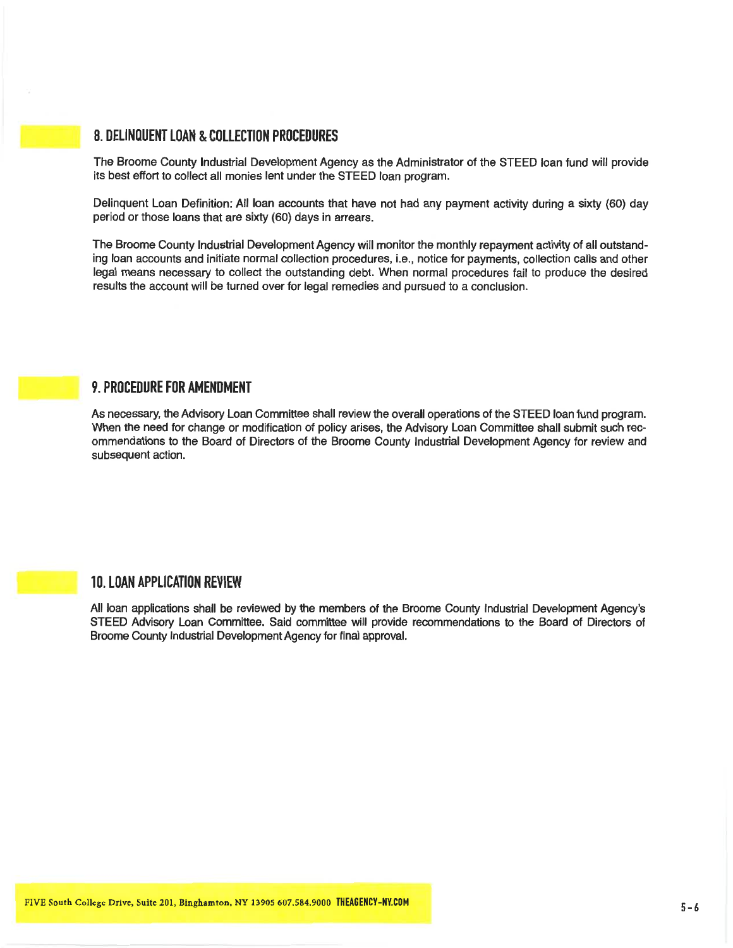# **8. DELINQUENT LOAN & COLLECTION PROCEDURES**

The Broome County Industrial Development Agency as the Administrator of the STEED loan fund will provide its best effort to collect all monies lent under the STEED loan program.

Delinquent Loan Definition: All loan accounts that have not had any payment activity during a sixty (60) day period or those loans that are sixty (60) days in arrears.

The Broome County Industrial Development Agency will monitor the monthly repayment activity of all outstanding loan accounts and initiate normal collection procedures, i.e., notice for payments, collection calls and other legal means necessary to collect the outstanding debt. When normal procedures fail to produce the desired results the account will be turned over for legal remedies and pursued to a conclusion.

#### **9. PROCEDURE FOR AMENDMENT**

As necessary, the Advisory Loan Committee shall review the overall operations of the STEED loan fund program. When the need for change or modification of policy arises, the Advisory Loan Committee shall submit such recommendations to the Board of Directors of the Broome County Industrial Development Agency for review and subsequent action.

# **10. LOAN APPLICATION REVIEW**

All loan applications shall be reviewed by the members of the Broome County Industrial Development Agency's STEED Advisory Loan Committee. Said committee will provide recommendations to the Board of Directors of Broome County Industrial Development Agency for final approval.